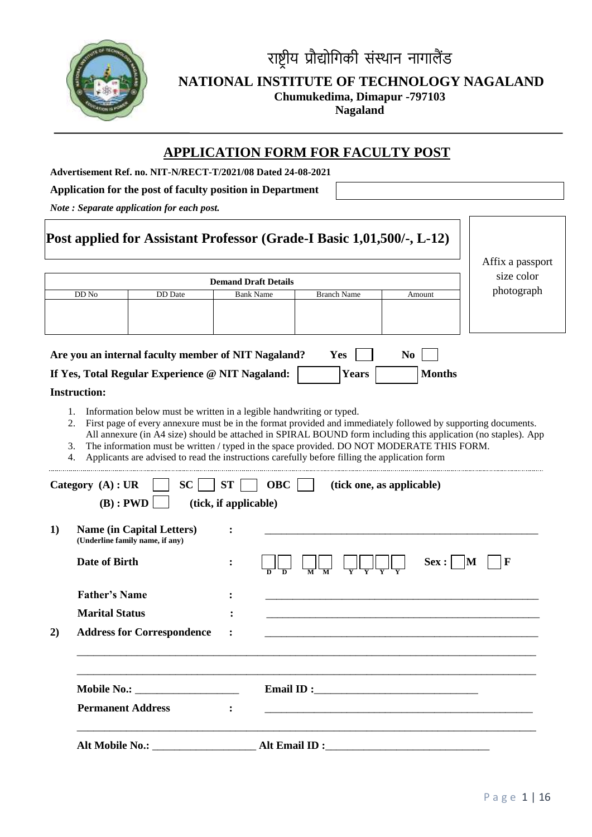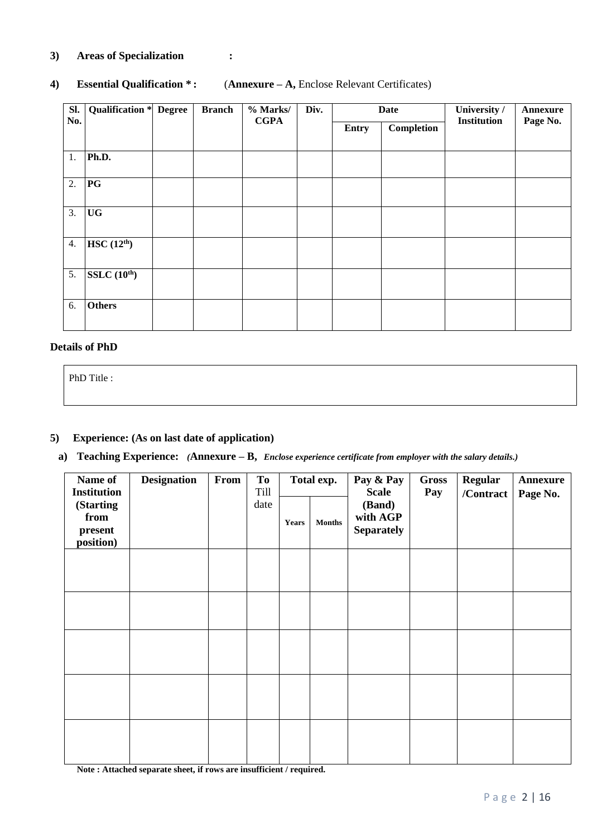### **3) Areas of Specialization :**

#### **4) Essential Qualification \* :** (**Annexure – A,** Enclose Relevant Certificates)

| Sl. | <b>Qualification * Degree</b> | <b>Branch</b> | % Marks/<br><b>CGPA</b> | Div. |       | <b>Date</b> | University /<br><b>Institution</b> | Annexure |
|-----|-------------------------------|---------------|-------------------------|------|-------|-------------|------------------------------------|----------|
| No. |                               |               |                         |      | Entry | Completion  |                                    | Page No. |
|     |                               |               |                         |      |       |             |                                    |          |
| 1.  | Ph.D.                         |               |                         |      |       |             |                                    |          |
| 2.  | PG                            |               |                         |      |       |             |                                    |          |
|     |                               |               |                         |      |       |             |                                    |          |
| 3.  | <b>UG</b>                     |               |                         |      |       |             |                                    |          |
|     |                               |               |                         |      |       |             |                                    |          |
| 4.  | HSC(12 <sup>th</sup> )        |               |                         |      |       |             |                                    |          |
|     | SSLC(10 <sup>th</sup> )       |               |                         |      |       |             |                                    |          |
| 5.  |                               |               |                         |      |       |             |                                    |          |
| 6.  | <b>Others</b>                 |               |                         |      |       |             |                                    |          |
|     |                               |               |                         |      |       |             |                                    |          |

#### **Details of PhD**

PhD Title :

#### **5) Experience: (As on last date of application)**

# **a) Teaching Experience:** *(***Annexure – B,** *Enclose experience certificate from employer with the salary details.)*

| Name of<br><b>Institution</b>                     | <b>Designation</b> | From | To<br>Till |              | Total exp.    | Pay & Pay<br><b>Scale</b>               | <b>Gross</b><br>Pay | <b>Regular</b><br>/Contract | <b>Annexure</b><br>Page No. |
|---------------------------------------------------|--------------------|------|------------|--------------|---------------|-----------------------------------------|---------------------|-----------------------------|-----------------------------|
| <b>(Starting)</b><br>from<br>present<br>position) |                    |      | date       | <b>Years</b> | $\bf{Months}$ | (Band)<br>with AGP<br><b>Separately</b> |                     |                             |                             |
|                                                   |                    |      |            |              |               |                                         |                     |                             |                             |
|                                                   |                    |      |            |              |               |                                         |                     |                             |                             |
|                                                   |                    |      |            |              |               |                                         |                     |                             |                             |
|                                                   |                    |      |            |              |               |                                         |                     |                             |                             |
|                                                   |                    |      |            |              |               |                                         |                     |                             |                             |

**Note : Attached separate sheet, if rows are insufficient / required.**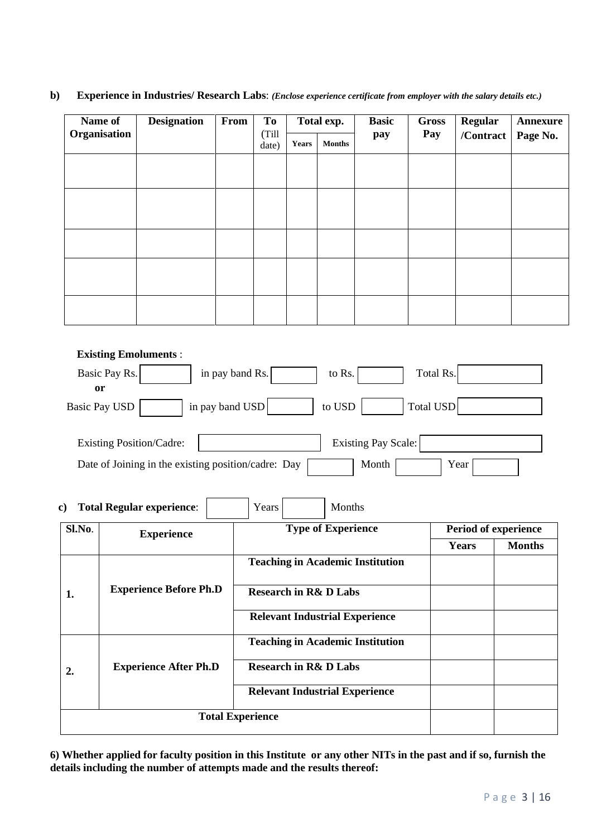#### **b) Experience in Industries/ Research Labs**: *(Enclose experience certificate from employer with the salary details etc.)*

| Name of      | <b>Designation</b> | From | <b>To</b>      |              | Total exp.    | <b>Basic</b> | <b>Gross</b> | <b>Regular</b> | Annexure |
|--------------|--------------------|------|----------------|--------------|---------------|--------------|--------------|----------------|----------|
| Organisation |                    |      | (Till<br>date) | <b>Years</b> | <b>Months</b> | pay          | Pay          | /Contract      | Page No. |
|              |                    |      |                |              |               |              |              |                |          |
|              |                    |      |                |              |               |              |              |                |          |
|              |                    |      |                |              |               |              |              |                |          |
|              |                    |      |                |              |               |              |              |                |          |
|              |                    |      |                |              |               |              |              |                |          |
|              |                    |      |                |              |               |              |              |                |          |
|              |                    |      |                |              |               |              |              |                |          |
|              |                    |      |                |              |               |              |              |                |          |

 **Existing Emoluments** :

| Basic Pay Rs.                                       | in pay band Rs. | to Rs. |                     | Total Rs. |      |  |
|-----------------------------------------------------|-----------------|--------|---------------------|-----------|------|--|
| <sub>or</sub><br><b>Basic Pay USD</b>               | in pay band USD | to USD |                     | Total USD |      |  |
|                                                     |                 |        |                     |           |      |  |
| <b>Existing Position/Cadre:</b>                     |                 |        | Existing Pay Scale: |           |      |  |
| Date of Joining in the existing position/cadre: Day |                 |        | Month               |           | Year |  |

### **c) Total Regular experience:** Years Years Months

| Sl.No. | <b>Experience</b>             | <b>Type of Experience</b>               | Period of experience |               |  |
|--------|-------------------------------|-----------------------------------------|----------------------|---------------|--|
|        |                               |                                         | Years                | <b>Months</b> |  |
|        |                               | <b>Teaching in Academic Institution</b> |                      |               |  |
| 1.     | <b>Experience Before Ph.D</b> | <b>Research in R&amp; D Labs</b>        |                      |               |  |
|        |                               | <b>Relevant Industrial Experience</b>   |                      |               |  |
|        |                               | <b>Teaching in Academic Institution</b> |                      |               |  |
| 2.     | <b>Experience After Ph.D</b>  | <b>Research in R&amp; D Labs</b>        |                      |               |  |
|        |                               | <b>Relevant Industrial Experience</b>   |                      |               |  |
|        | <b>Total Experience</b>       |                                         |                      |               |  |

**6) Whether applied for faculty position in this Institute or any other NITs in the past and if so, furnish the details including the number of attempts made and the results thereof:**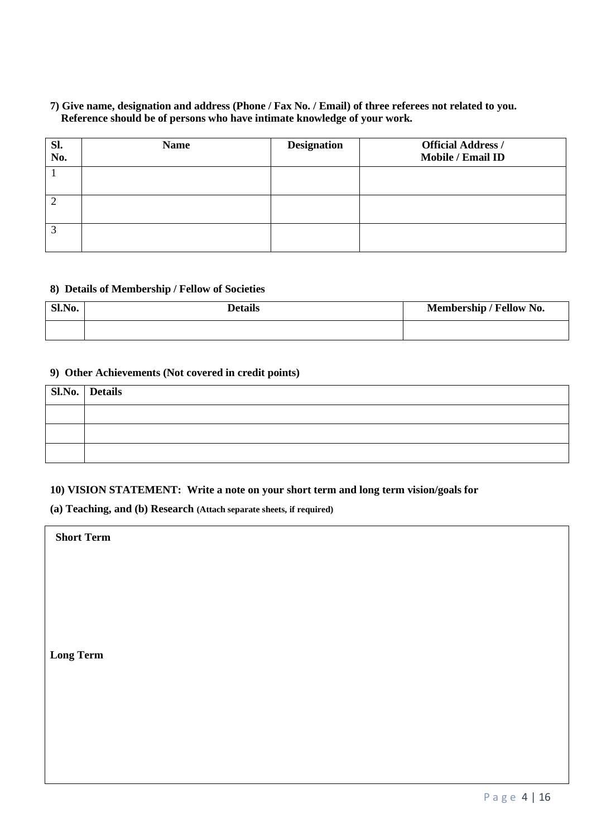#### **7) Give name, designation and address (Phone / Fax No. / Email) of three referees not related to you. Reference should be of persons who have intimate knowledge of your work.**

| Sl.<br>No. | <b>Name</b> | <b>Designation</b> | <b>Official Address /</b><br>Mobile / Email ID |
|------------|-------------|--------------------|------------------------------------------------|
|            |             |                    |                                                |
|            |             |                    |                                                |
|            |             |                    |                                                |

#### **8) Details of Membership / Fellow of Societies**

| Sl.No. | <b>Details</b> | Membership / Fellow No. |
|--------|----------------|-------------------------|
|        |                |                         |

#### **9) Other Achievements (Not covered in credit points)**

| Sl.No. Details |
|----------------|
|                |
|                |
|                |

#### **10) VISION STATEMENT: Write a note on your short term and long term vision/goals for**

**(a) Teaching, and (b) Research (Attach separate sheets, if required)**

 **Short Term**

**Long Term**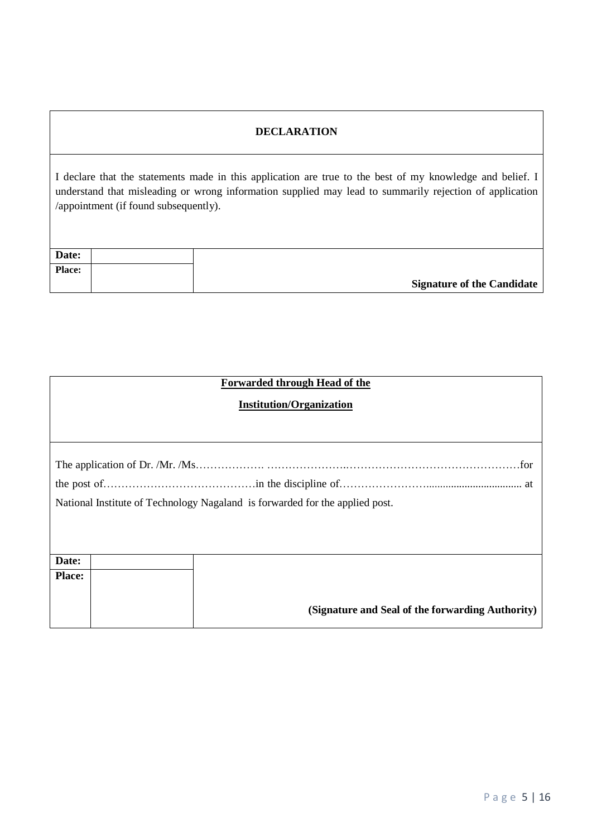### **DECLARATION**

I declare that the statements made in this application are true to the best of my knowledge and belief. I understand that misleading or wrong information supplied may lead to summarily rejection of application /appointment (if found subsequently).

| Date:         |                                   |
|---------------|-----------------------------------|
| <b>Place:</b> |                                   |
|               | <b>Signature of the Candidate</b> |

| Forwarded through Head of the                                                |                                                  |  |  |  |  |  |  |  |  |
|------------------------------------------------------------------------------|--------------------------------------------------|--|--|--|--|--|--|--|--|
| <b>Institution/Organization</b>                                              |                                                  |  |  |  |  |  |  |  |  |
|                                                                              |                                                  |  |  |  |  |  |  |  |  |
|                                                                              |                                                  |  |  |  |  |  |  |  |  |
|                                                                              |                                                  |  |  |  |  |  |  |  |  |
|                                                                              |                                                  |  |  |  |  |  |  |  |  |
| National Institute of Technology Nagaland is forwarded for the applied post. |                                                  |  |  |  |  |  |  |  |  |
|                                                                              |                                                  |  |  |  |  |  |  |  |  |
|                                                                              |                                                  |  |  |  |  |  |  |  |  |
| Date:                                                                        |                                                  |  |  |  |  |  |  |  |  |
| <b>Place:</b>                                                                |                                                  |  |  |  |  |  |  |  |  |
|                                                                              |                                                  |  |  |  |  |  |  |  |  |
|                                                                              | (Signature and Seal of the forwarding Authority) |  |  |  |  |  |  |  |  |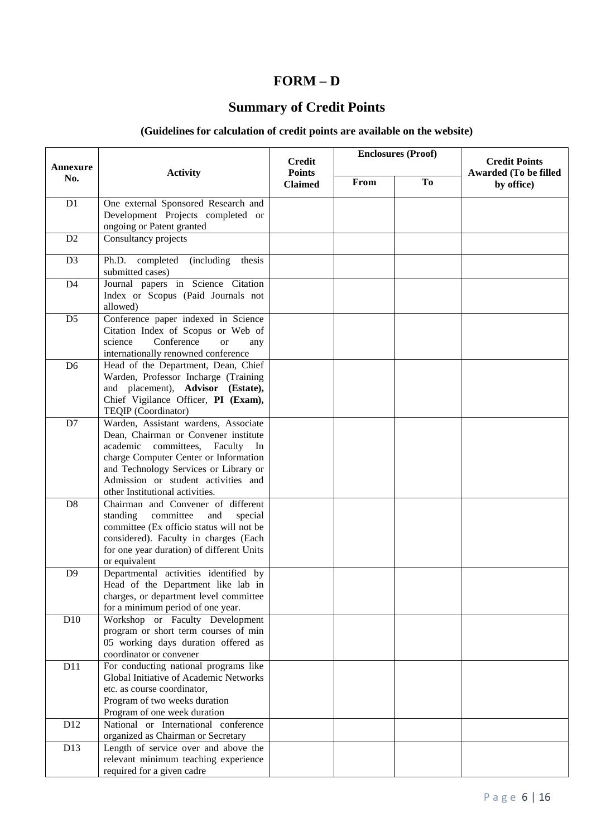# **FORM – D**

# **Summary of Credit Points**

# **(Guidelines for calculation of credit points are available on the website)**

| <b>Annexure</b> |                                                                                                                                                                                                                                                                                        | <b>Credit</b>                   |      | <b>Enclosures (Proof)</b> | <b>Credit Points</b><br><b>Awarded (To be filled</b> |  |
|-----------------|----------------------------------------------------------------------------------------------------------------------------------------------------------------------------------------------------------------------------------------------------------------------------------------|---------------------------------|------|---------------------------|------------------------------------------------------|--|
| No.             | <b>Activity</b>                                                                                                                                                                                                                                                                        | <b>Points</b><br><b>Claimed</b> | From | To                        | by office)                                           |  |
| D <sub>1</sub>  | One external Sponsored Research and<br>Development Projects completed or<br>ongoing or Patent granted                                                                                                                                                                                  |                                 |      |                           |                                                      |  |
| D <sub>2</sub>  | Consultancy projects                                                                                                                                                                                                                                                                   |                                 |      |                           |                                                      |  |
| D <sub>3</sub>  | Ph.D. completed<br><i>(including)</i><br>thesis<br>submitted cases)                                                                                                                                                                                                                    |                                 |      |                           |                                                      |  |
| D <sub>4</sub>  | Journal papers in Science Citation<br>Index or Scopus (Paid Journals not<br>allowed)                                                                                                                                                                                                   |                                 |      |                           |                                                      |  |
| D <sub>5</sub>  | Conference paper indexed in Science<br>Citation Index of Scopus or Web of<br>Conference<br>science<br><b>or</b><br>any<br>internationally renowned conference                                                                                                                          |                                 |      |                           |                                                      |  |
| D <sub>6</sub>  | Head of the Department, Dean, Chief<br>Warden, Professor Incharge (Training<br>and placement), Advisor (Estate),<br>Chief Vigilance Officer, PI (Exam),<br>TEQIP (Coordinator)                                                                                                         |                                 |      |                           |                                                      |  |
| D7              | Warden, Assistant wardens, Associate<br>Dean, Chairman or Convener institute<br>committees,<br>academic<br>Faculty<br>- In<br>charge Computer Center or Information<br>and Technology Services or Library or<br>Admission or student activities and<br>other Institutional activities. |                                 |      |                           |                                                      |  |
| D <sub>8</sub>  | Chairman and Convener of different<br>standing<br>committee<br>and<br>special<br>committee (Ex officio status will not be<br>considered). Faculty in charges (Each<br>for one year duration) of different Units<br>or equivalent                                                       |                                 |      |                           |                                                      |  |
| D <sup>9</sup>  | Departmental activities identified by<br>Head of the Department like lab in<br>charges, or department level committee<br>for a minimum period of one year.                                                                                                                             |                                 |      |                           |                                                      |  |
| D10             | Workshop or Faculty Development<br>program or short term courses of min<br>05 working days duration offered as<br>coordinator or convener                                                                                                                                              |                                 |      |                           |                                                      |  |
| D11             | For conducting national programs like<br>Global Initiative of Academic Networks<br>etc. as course coordinator,<br>Program of two weeks duration<br>Program of one week duration                                                                                                        |                                 |      |                           |                                                      |  |
| D <sub>12</sub> | National or International conference<br>organized as Chairman or Secretary                                                                                                                                                                                                             |                                 |      |                           |                                                      |  |
| D13             | Length of service over and above the<br>relevant minimum teaching experience<br>required for a given cadre                                                                                                                                                                             |                                 |      |                           |                                                      |  |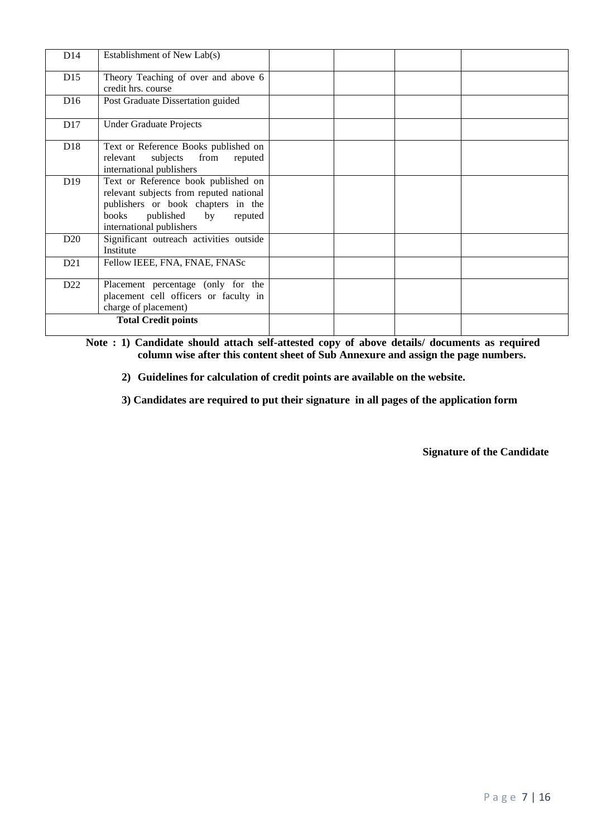| D14             | Establishment of New Lab(s)                                                                                                                                                                      |  |  |
|-----------------|--------------------------------------------------------------------------------------------------------------------------------------------------------------------------------------------------|--|--|
| D15             | Theory Teaching of over and above 6<br>credit hrs. course                                                                                                                                        |  |  |
| D <sub>16</sub> | Post Graduate Dissertation guided                                                                                                                                                                |  |  |
| D17             | <b>Under Graduate Projects</b>                                                                                                                                                                   |  |  |
| D <sub>18</sub> | Text or Reference Books published on<br>subjects<br>from<br>reputed<br>relevant<br>international publishers                                                                                      |  |  |
| D <sub>19</sub> | Text or Reference book published on<br>relevant subjects from reputed national<br>publishers or book chapters in the<br>published<br>$_{\rm by}$<br>books<br>reputed<br>international publishers |  |  |
| D20             | Significant outreach activities outside<br>Institute                                                                                                                                             |  |  |
| D21             | Fellow IEEE, FNA, FNAE, FNASc                                                                                                                                                                    |  |  |
| D <sub>22</sub> | Placement percentage (only for the<br>placement cell officers or faculty in<br>charge of placement)                                                                                              |  |  |
|                 | <b>Total Credit points</b>                                                                                                                                                                       |  |  |

**Note : 1) Candidate should attach self-attested copy of above details/ documents as required column wise after this content sheet of Sub Annexure and assign the page numbers.**

**2) Guidelines for calculation of credit points are available on the website.** 

**3) Candidates are required to put their signature in all pages of the application form**

**Signature of the Candidate**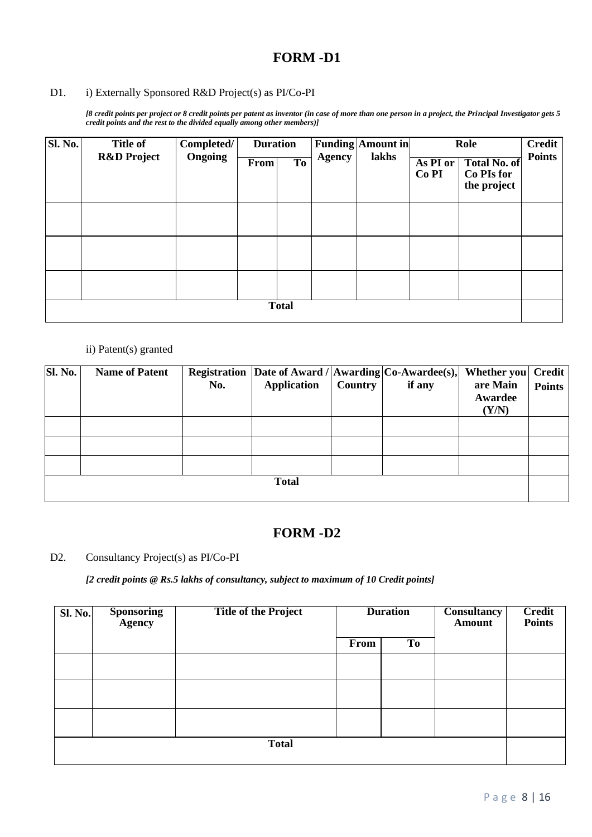#### D1. i) Externally Sponsored R&D Project(s) as PI/Co-PI

*[8 credit points per project or 8 credit points per patent as inventor (in case of more than one person in a project, the Principal Investigator gets 5 credit points and the rest to the divided equally among other members)]*

| Sl. No. | <b>Title of</b>        | Completed/ | <b>Duration</b> |                |               | <b>Funding Amount in</b> | Role                         |                                                  | <b>Credit</b> |
|---------|------------------------|------------|-----------------|----------------|---------------|--------------------------|------------------------------|--------------------------------------------------|---------------|
|         | <b>R&amp;D</b> Project | Ongoing    | From            | T <sub>o</sub> | <b>Agency</b> | lakhs                    | As PI or<br>Co <sub>PI</sub> | <b>Total No. of</b><br>Co PIs for<br>the project | <b>Points</b> |
|         |                        |            |                 |                |               |                          |                              |                                                  |               |
|         |                        |            |                 |                |               |                          |                              |                                                  |               |
|         |                        |            |                 |                |               |                          |                              |                                                  |               |
|         | <b>Total</b>           |            |                 |                |               |                          |                              |                                                  |               |

#### ii) Patent(s) granted

| Sl. No. | <b>Name of Patent</b> | No. | Registration Date of Award / $ {\rm Awarding} {\rm Co-} \text{Awardee(s)}, $<br><b>Application</b> | Country | if any | <b>Whether you</b><br>are Main | <b>Credit</b><br><b>Points</b> |
|---------|-----------------------|-----|----------------------------------------------------------------------------------------------------|---------|--------|--------------------------------|--------------------------------|
|         |                       |     |                                                                                                    |         |        | Awardee<br>(Y/N)               |                                |
|         |                       |     |                                                                                                    |         |        |                                |                                |
|         |                       |     |                                                                                                    |         |        |                                |                                |
|         |                       |     |                                                                                                    |         |        |                                |                                |
|         |                       |     | <b>Total</b>                                                                                       |         |        |                                |                                |

### **FORM -D2**

#### D2. Consultancy Project(s) as PI/Co-PI

*[2 credit points @ Rs.5 lakhs of consultancy, subject to maximum of 10 Credit points]*

| <b>Sl. No.</b> | Sponsoring<br>Agency | <b>Title of the Project</b> | <b>Duration</b> |                | <b>Consultancy</b><br><b>Amount</b> | <b>Credit</b><br><b>Points</b> |
|----------------|----------------------|-----------------------------|-----------------|----------------|-------------------------------------|--------------------------------|
|                |                      |                             | From            | T <sub>0</sub> |                                     |                                |
|                |                      |                             |                 |                |                                     |                                |
|                |                      |                             |                 |                |                                     |                                |
|                |                      |                             |                 |                |                                     |                                |
|                |                      | <b>Total</b>                |                 |                |                                     |                                |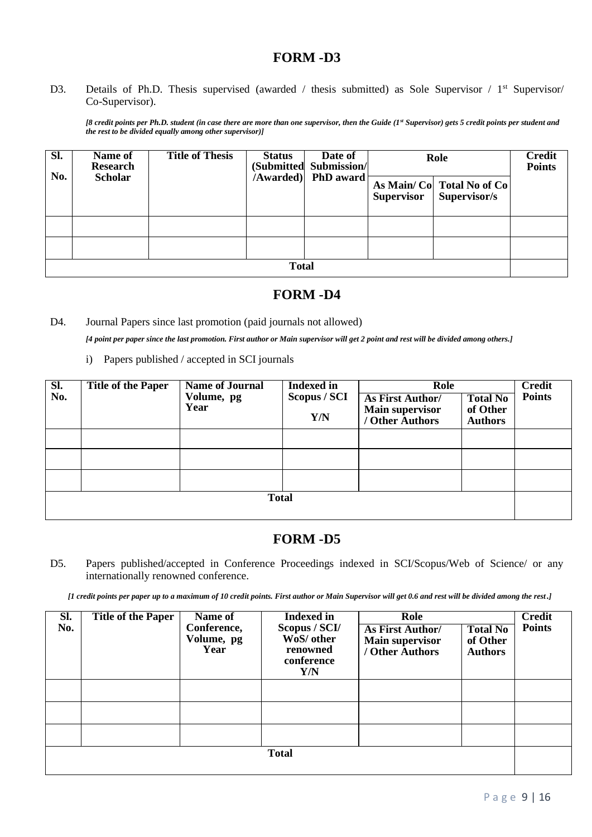D3. Details of Ph.D. Thesis supervised (awarded / thesis submitted) as Sole Supervisor / 1<sup>st</sup> Supervisor/ Co-Supervisor).

*[8 credit points per Ph.D. student (in case there are more than one supervisor, then the Guide (1st Supervisor) gets 5 credit points per student and the rest to be divided equally among other supervisor)]*

| Sl. | Name of<br><b>Research</b> | <b>Title of Thesis</b> | <b>Status</b> | Date of<br>(Submitted Submission/ | Role              |                                            | <b>Credit</b><br><b>Points</b> |
|-----|----------------------------|------------------------|---------------|-----------------------------------|-------------------|--------------------------------------------|--------------------------------|
| No. | <b>Scholar</b>             |                        |               | /Awarded) PhD award               | <b>Supervisor</b> | As Main/ Co Total No of Co<br>Supervisor/s |                                |
|     |                            |                        |               |                                   |                   |                                            |                                |
|     |                            |                        |               |                                   |                   |                                            |                                |
|     |                            |                        |               |                                   |                   |                                            |                                |
|     | <b>Total</b>               |                        |               |                                   |                   |                                            |                                |

### **FORM -D4**

D4. Journal Papers since last promotion (paid journals not allowed)

*[4 point per paper since the last promotion. First author or Main supervisor will get 2 point and rest will be divided among others.]*

i) Papers published / accepted in SCI journals

| SI.<br>No.   | <b>Title of the Paper</b> | <b>Name of Journal</b><br>Volume, pg<br>Year | <b>Indexed in</b><br>Scopus / SCI<br>Y/N | Role<br><b>As First Author/</b><br><b>Main supervisor</b><br>/ Other Authors | <b>Total No</b><br>of Other<br><b>Authors</b> | <b>Credit</b><br><b>Points</b> |
|--------------|---------------------------|----------------------------------------------|------------------------------------------|------------------------------------------------------------------------------|-----------------------------------------------|--------------------------------|
|              |                           |                                              |                                          |                                                                              |                                               |                                |
|              |                           |                                              |                                          |                                                                              |                                               |                                |
|              |                           |                                              |                                          |                                                                              |                                               |                                |
| <b>Total</b> |                           |                                              |                                          |                                                                              |                                               |                                |

### **FORM -D5**

D5. Papers published/accepted in Conference Proceedings indexed in SCI/Scopus/Web of Science/ or any internationally renowned conference.

*[1 credit points per paper up to a maximum of 10 credit points. First author or Main Supervisor will get 0.6 and rest will be divided among the rest*.*]*

| SI.<br>No. | <b>Title of the Paper</b> | Name of<br>Conference,<br>Volume, pg<br>Year | <b>Indexed</b> in<br>Scopus / SCI/<br>WoS/ other<br>renowned<br>conference<br>Y/N | Role<br>As First Author/<br><b>Main supervisor</b><br>/ Other Authors | <b>Total No</b><br>of Other<br><b>Authors</b> | <b>Credit</b><br><b>Points</b> |
|------------|---------------------------|----------------------------------------------|-----------------------------------------------------------------------------------|-----------------------------------------------------------------------|-----------------------------------------------|--------------------------------|
|            |                           |                                              |                                                                                   |                                                                       |                                               |                                |
|            |                           |                                              |                                                                                   |                                                                       |                                               |                                |
|            |                           |                                              |                                                                                   |                                                                       |                                               |                                |
|            |                           |                                              | <b>Total</b>                                                                      |                                                                       |                                               |                                |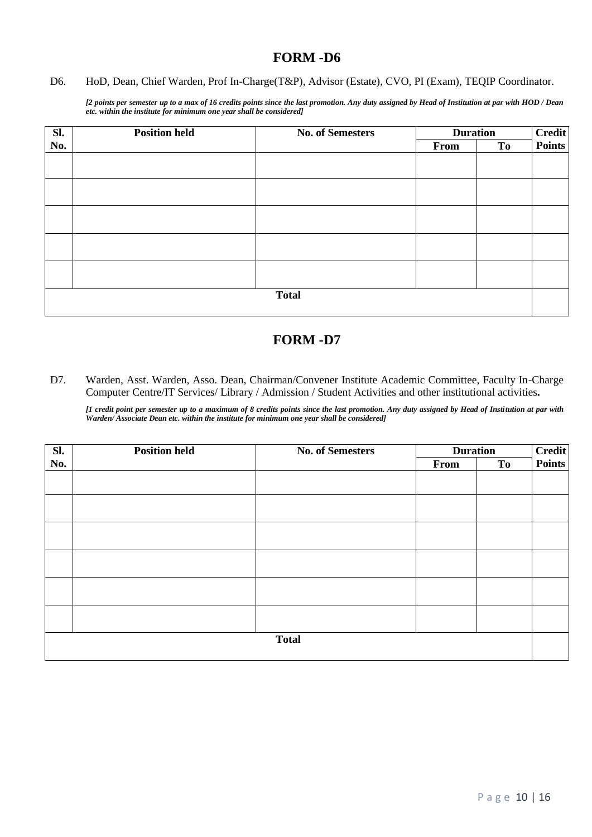#### D6. HoD, Dean, Chief Warden, Prof In-Charge(T&P), Advisor (Estate), CVO, PI (Exam), TEQIP Coordinator.

*[2 points per semester up to a max of 16 credits points since the last promotion. Any duty assigned by Head of Institution at par with HOD / Dean etc. within the institute for minimum one year shall be considered]*

| Sl.          | <b>Position held</b> | <b>No. of Semesters</b> | <b>Duration</b> |    | <b>Credit</b><br><b>Points</b> |
|--------------|----------------------|-------------------------|-----------------|----|--------------------------------|
| No.          |                      |                         | From            | To |                                |
|              |                      |                         |                 |    |                                |
|              |                      |                         |                 |    |                                |
|              |                      |                         |                 |    |                                |
|              |                      |                         |                 |    |                                |
|              |                      |                         |                 |    |                                |
|              |                      |                         |                 |    |                                |
|              |                      |                         |                 |    |                                |
|              |                      |                         |                 |    |                                |
|              |                      |                         |                 |    |                                |
|              |                      |                         |                 |    |                                |
| <b>Total</b> |                      |                         |                 |    |                                |
|              |                      |                         |                 |    |                                |

### **FORM -D7**

D7. Warden, Asst. Warden, Asso. Dean, Chairman/Convener Institute Academic Committee, Faculty In-Charge Computer Centre/IT Services/ Library / Admission / Student Activities and other institutional activities**.** 

*[1 credit point per semester up to a maximum of 8 credits points since the last promotion. Any duty assigned by Head of Institution at par with Warden/ Associate Dean etc. within the institute for minimum one year shall be considered]*

| SI.          | <b>Position held</b> | <b>No. of Semesters</b> | <b>Duration</b> |           | Credit<br>Points |
|--------------|----------------------|-------------------------|-----------------|-----------|------------------|
| No.          |                      |                         | From            | <b>To</b> |                  |
|              |                      |                         |                 |           |                  |
|              |                      |                         |                 |           |                  |
|              |                      |                         |                 |           |                  |
|              |                      |                         |                 |           |                  |
|              |                      |                         |                 |           |                  |
|              |                      |                         |                 |           |                  |
|              |                      |                         |                 |           |                  |
|              |                      |                         |                 |           |                  |
|              |                      |                         |                 |           |                  |
|              |                      |                         |                 |           |                  |
|              |                      |                         |                 |           |                  |
|              |                      |                         |                 |           |                  |
| <b>Total</b> |                      |                         |                 |           |                  |
|              |                      |                         |                 |           |                  |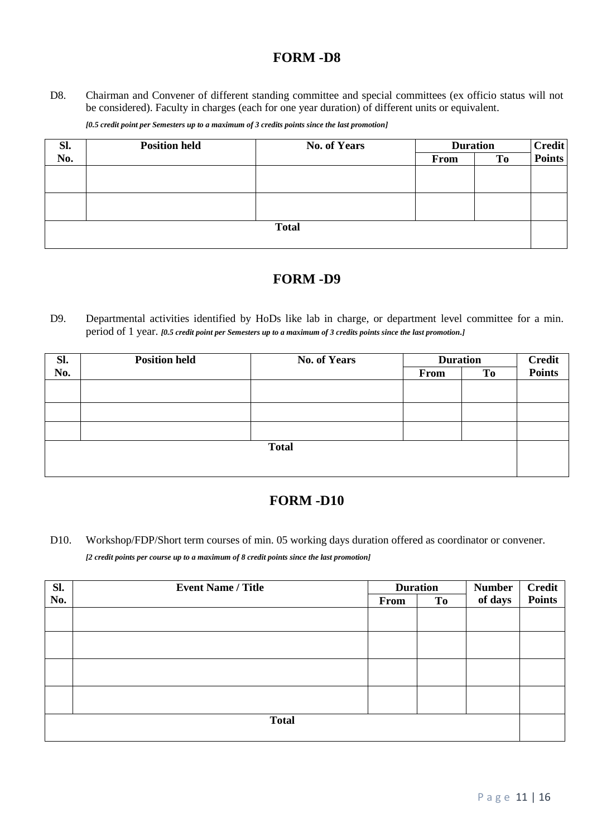D8. Chairman and Convener of different standing committee and special committees (ex officio status will not be considered). Faculty in charges (each for one year duration) of different units or equivalent.

| [0.5 credit point per Semesters up to a maximum of 3 credits points since the last promotion] |
|-----------------------------------------------------------------------------------------------|
|-----------------------------------------------------------------------------------------------|

| SI.          | <b>Position held</b> | <b>No. of Years</b> | <b>Duration</b> |    | <b>Credit</b> |
|--------------|----------------------|---------------------|-----------------|----|---------------|
| No.          |                      |                     | From            | To | <b>Points</b> |
|              |                      |                     |                 |    |               |
|              |                      |                     |                 |    |               |
|              |                      |                     |                 |    |               |
|              |                      |                     |                 |    |               |
| <b>Total</b> |                      |                     |                 |    |               |
|              |                      |                     |                 |    |               |

### **FORM -D9**

D9. Departmental activities identified by HoDs like lab in charge, or department level committee for a min. period of 1 year. *[0.5 credit point per Semesters up to a maximum of 3 credits points since the last promotion.]*

| Sl.          | <b>Position held</b> | <b>No. of Years</b> | <b>Duration</b> |    | <b>Credit</b><br><b>Points</b> |  |
|--------------|----------------------|---------------------|-----------------|----|--------------------------------|--|
| No.          |                      |                     | From            | To |                                |  |
|              |                      |                     |                 |    |                                |  |
|              |                      |                     |                 |    |                                |  |
|              |                      |                     |                 |    |                                |  |
|              |                      |                     |                 |    |                                |  |
| <b>Total</b> |                      |                     |                 |    |                                |  |
|              |                      |                     |                 |    |                                |  |
|              |                      |                     |                 |    |                                |  |

### **FORM -D10**

D10. Workshop/FDP/Short term courses of min. 05 working days duration offered as coordinator or convener. *[2 credit points per course up to a maximum of 8 credit points since the last promotion]*

| Sl.          | <b>Event Name / Title</b> |      | <b>Duration</b> | <b>Number</b> | <b>Credit</b><br><b>Points</b> |
|--------------|---------------------------|------|-----------------|---------------|--------------------------------|
| No.          |                           | From | To              | of days       |                                |
|              |                           |      |                 |               |                                |
|              |                           |      |                 |               |                                |
|              |                           |      |                 |               |                                |
|              |                           |      |                 |               |                                |
|              |                           |      |                 |               |                                |
|              |                           |      |                 |               |                                |
|              |                           |      |                 |               |                                |
|              |                           |      |                 |               |                                |
| <b>Total</b> |                           |      |                 |               |                                |
|              |                           |      |                 |               |                                |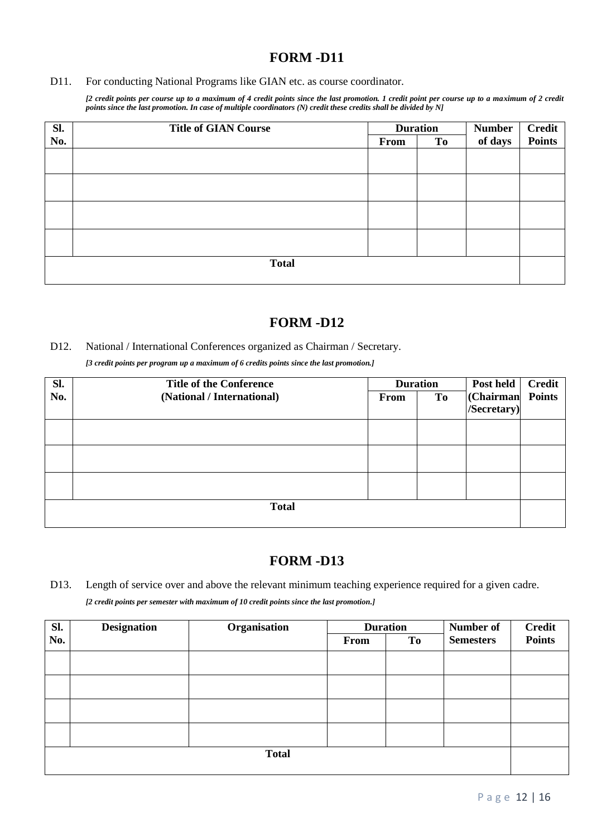#### D11. For conducting National Programs like GIAN etc. as course coordinator.

*[2 credit points per course up to a maximum of 4 credit points since the last promotion. 1 credit point per course up to a maximum of 2 credit points since the last promotion. In case of multiple coordinators (N) credit these credits shall be divided by N]*

| Sl.          | <b>Title of GIAN Course</b> |      | <b>Duration</b> | <b>Number</b> | <b>Credit<br/>Points</b> |  |
|--------------|-----------------------------|------|-----------------|---------------|--------------------------|--|
| No.          |                             | From | To              | of days       |                          |  |
|              |                             |      |                 |               |                          |  |
|              |                             |      |                 |               |                          |  |
|              |                             |      |                 |               |                          |  |
|              |                             |      |                 |               |                          |  |
| <b>Total</b> |                             |      |                 |               |                          |  |

### **FORM -D12**

#### D12. National / International Conferences organized as Chairman / Secretary.

*[3 credit points per program up a maximum of 6 credits points since the last promotion.]*

| Sl.          | <b>Title of the Conference</b><br><b>Duration</b> |      |                | Post held        | <b>Credit</b> |  |
|--------------|---------------------------------------------------|------|----------------|------------------|---------------|--|
| No.          | (National / International)                        | From | T <sub>0</sub> | (Chairman Points |               |  |
|              |                                                   |      |                | /Secretary)      |               |  |
|              |                                                   |      |                |                  |               |  |
|              |                                                   |      |                |                  |               |  |
|              |                                                   |      |                |                  |               |  |
|              |                                                   |      |                |                  |               |  |
|              |                                                   |      |                |                  |               |  |
|              |                                                   |      |                |                  |               |  |
| <b>Total</b> |                                                   |      |                |                  |               |  |
|              |                                                   |      |                |                  |               |  |

### **FORM -D13**

D13. Length of service over and above the relevant minimum teaching experience required for a given cadre. *[2 credit points per semester with maximum of 10 credit points since the last promotion.]*

| Sl.          | <b>Designation</b> | Organisation | <b>Duration</b> |    | Number of        | <b>Credit</b> |
|--------------|--------------------|--------------|-----------------|----|------------------|---------------|
| No.          |                    |              | From            | To | <b>Semesters</b> | <b>Points</b> |
|              |                    |              |                 |    |                  |               |
|              |                    |              |                 |    |                  |               |
|              |                    |              |                 |    |                  |               |
|              |                    |              |                 |    |                  |               |
|              |                    |              |                 |    |                  |               |
|              |                    |              |                 |    |                  |               |
|              |                    |              |                 |    |                  |               |
|              |                    |              |                 |    |                  |               |
| <b>Total</b> |                    |              |                 |    |                  |               |
|              |                    |              |                 |    |                  |               |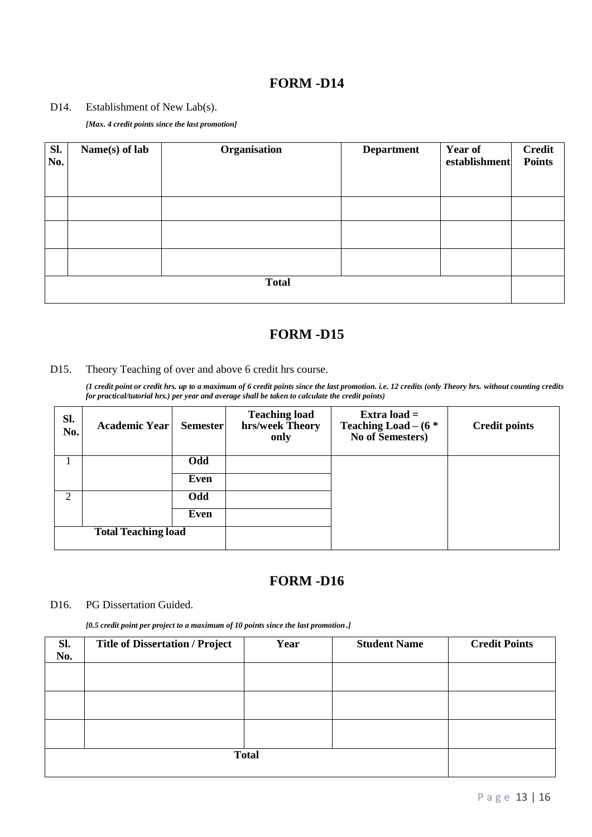#### D14. Establishment of New Lab(s).

*[Max. 4 credit points since the last promotion]* 

| Sl.<br>No.   | Name(s) of lab | Organisation | <b>Department</b> | Year of<br>establishment | <b>Credit</b><br><b>Points</b> |  |
|--------------|----------------|--------------|-------------------|--------------------------|--------------------------------|--|
|              |                |              |                   |                          |                                |  |
|              |                |              |                   |                          |                                |  |
|              |                |              |                   |                          |                                |  |
| <b>Total</b> |                |              |                   |                          |                                |  |

### **FORM -D15**

#### D15. Theory Teaching of over and above 6 credit hrs course.

*(1 credit point or credit hrs. up to a maximum of 6 credit points since the last promotion. i.e. 12 credits (only Theory hrs. without counting credits for practical/tutorial hrs.) per year and average shall be taken to calculate the credit points)*

| SI.<br>No. | <b>Academic Year</b>       | <b>Semester</b> | <b>Teaching load</b><br>hrs/week Theory<br>only | Extra load $=$<br>Teaching Load $-$ (6 $*$<br>No of Semesters) | <b>Credit points</b> |
|------------|----------------------------|-----------------|-------------------------------------------------|----------------------------------------------------------------|----------------------|
|            |                            | Odd             |                                                 |                                                                |                      |
|            |                            | Even            |                                                 |                                                                |                      |
| 2          |                            | Odd             |                                                 |                                                                |                      |
|            |                            | Even            |                                                 |                                                                |                      |
|            | <b>Total Teaching load</b> |                 |                                                 |                                                                |                      |

### **FORM -D16**

#### D16. PG Dissertation Guided.

*[0.5 credit point per project to a maximum of 10 points since the last promotion*.*]*

| SI.<br>No. | <b>Title of Dissertation / Project</b> | Year | <b>Student Name</b> | <b>Credit Points</b> |
|------------|----------------------------------------|------|---------------------|----------------------|
|            |                                        |      |                     |                      |
|            |                                        |      |                     |                      |
|            |                                        |      |                     |                      |
|            |                                        |      |                     |                      |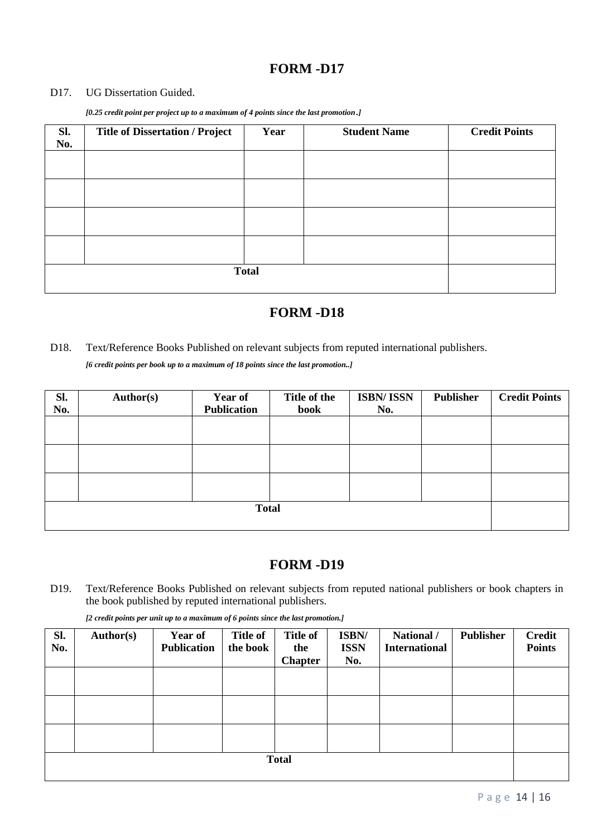#### D17. UG Dissertation Guided.

*[0.25 credit point per project up to a maximum of 4 points since the last promotion*.*]*

| Sl.<br>No. | <b>Title of Dissertation / Project</b> | Year | <b>Student Name</b> | <b>Credit Points</b> |  |  |
|------------|----------------------------------------|------|---------------------|----------------------|--|--|
|            |                                        |      |                     |                      |  |  |
|            |                                        |      |                     |                      |  |  |
|            |                                        |      |                     |                      |  |  |
|            |                                        |      |                     |                      |  |  |
|            |                                        |      |                     |                      |  |  |
|            |                                        |      |                     |                      |  |  |
|            | <b>Total</b>                           |      |                     |                      |  |  |
|            |                                        |      |                     |                      |  |  |

### **FORM -D18**

#### D18. Text/Reference Books Published on relevant subjects from reputed international publishers.

*[6 credit points per book up to a maximum of 18 points since the last promotion..]*

| Sl. | Author(s) | <b>Year of</b>     | Title of the | <b>ISBN/ISSN</b> | <b>Publisher</b> | <b>Credit Points</b> |
|-----|-----------|--------------------|--------------|------------------|------------------|----------------------|
| No. |           | <b>Publication</b> | <b>book</b>  | No.              |                  |                      |
|     |           |                    |              |                  |                  |                      |
|     |           |                    |              |                  |                  |                      |
|     |           |                    |              |                  |                  |                      |
|     |           |                    |              |                  |                  |                      |
|     |           |                    |              |                  |                  |                      |
|     |           |                    |              |                  |                  |                      |
|     |           |                    |              |                  |                  |                      |
|     |           |                    |              |                  |                  |                      |

# **FORM -D19**

D19. Text/Reference Books Published on relevant subjects from reputed national publishers or book chapters in the book published by reputed international publishers.

|  |  | [2 credit points per unit up to a maximum of 6 points since the last promotion.] |
|--|--|----------------------------------------------------------------------------------|
|--|--|----------------------------------------------------------------------------------|

| SI.<br>No.   | Author(s) | <b>Year of</b><br><b>Publication</b> | <b>Title of</b><br>the book | <b>Title of</b><br>the<br><b>Chapter</b> | ISBN/<br><b>ISSN</b><br>No. | National /<br><b>International</b> | Publisher | <b>Credit</b><br><b>Points</b> |
|--------------|-----------|--------------------------------------|-----------------------------|------------------------------------------|-----------------------------|------------------------------------|-----------|--------------------------------|
|              |           |                                      |                             |                                          |                             |                                    |           |                                |
|              |           |                                      |                             |                                          |                             |                                    |           |                                |
|              |           |                                      |                             |                                          |                             |                                    |           |                                |
| <b>Total</b> |           |                                      |                             |                                          |                             |                                    |           |                                |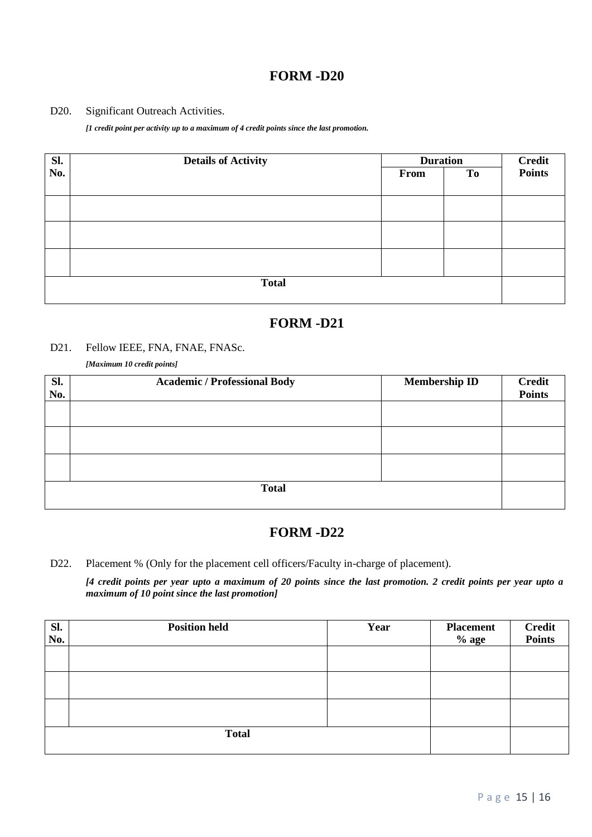#### D20. Significant Outreach Activities.

*[1 credit point per activity up to a maximum of 4 credit points since the last promotion.* 

| Sl. | <b>Details of Activity</b> | <b>Duration</b> | <b>Credit</b><br><b>Points</b> |  |
|-----|----------------------------|-----------------|--------------------------------|--|
| No. |                            | From            | To                             |  |
|     |                            |                 |                                |  |
|     |                            |                 |                                |  |
|     |                            |                 |                                |  |
|     |                            |                 |                                |  |
|     |                            |                 |                                |  |
|     |                            |                 |                                |  |
|     |                            |                 |                                |  |
|     | <b>Total</b>               |                 |                                |  |
|     |                            |                 |                                |  |

### **FORM -D21**

#### D21. Fellow IEEE, FNA, FNAE, FNASc.

*[Maximum 10 credit points]*

| Sl.<br>No. | <b>Academic / Professional Body</b> | <b>Membership ID</b> | <b>Credit</b><br><b>Points</b> |
|------------|-------------------------------------|----------------------|--------------------------------|
|            |                                     |                      |                                |
|            |                                     |                      |                                |
|            |                                     |                      |                                |
|            | <b>Total</b>                        |                      |                                |

### **FORM -D22**

D22. Placement % (Only for the placement cell officers/Faculty in-charge of placement).

*[4 credit points per year upto a maximum of 20 points since the last promotion. 2 credit points per year upto a maximum of 10 point since the last promotion]*

| SI.<br>No.   | <b>Position held</b> | Year | <b>Placement</b><br>$%$ age | <b>Credit<br/>Points</b> |
|--------------|----------------------|------|-----------------------------|--------------------------|
|              |                      |      |                             |                          |
|              |                      |      |                             |                          |
|              |                      |      |                             |                          |
| <b>Total</b> |                      |      |                             |                          |